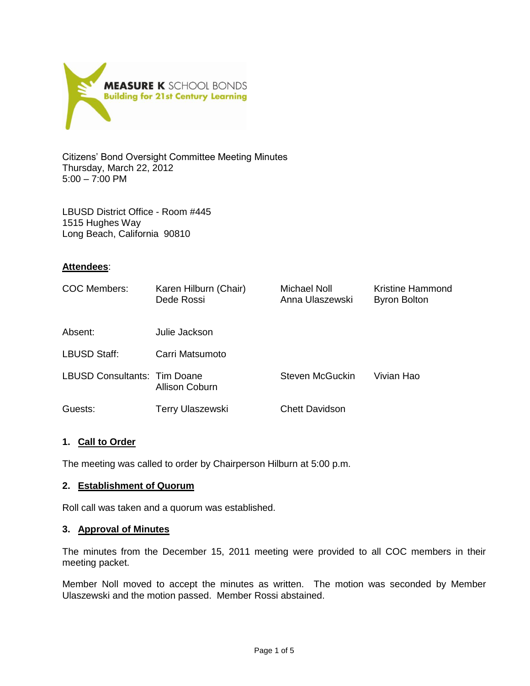

Citizens' Bond Oversight Committee Meeting Minutes Thursday, March 22, 2012 5:00 – 7:00 PM

LBUSD District Office - Room #445 1515 Hughes Way Long Beach, California 90810

### **Attendees**:

| COC Members:                 | Karen Hilburn (Chair)<br>Dede Rossi | Michael Noll<br>Anna Ulaszewski | Kristine Hammond<br><b>Byron Bolton</b> |
|------------------------------|-------------------------------------|---------------------------------|-----------------------------------------|
| Absent:                      | Julie Jackson                       |                                 |                                         |
| LBUSD Staff:                 | Carri Matsumoto                     |                                 |                                         |
| LBUSD Consultants: Tim Doane | Allison Coburn                      | Steven McGuckin                 | Vivian Hao                              |
| Guests:                      | <b>Terry Ulaszewski</b>             | <b>Chett Davidson</b>           |                                         |

## **1. Call to Order**

The meeting was called to order by Chairperson Hilburn at 5:00 p.m.

### **2. Establishment of Quorum**

Roll call was taken and a quorum was established.

### **3. Approval of Minutes**

The minutes from the December 15, 2011 meeting were provided to all COC members in their meeting packet.

Member Noll moved to accept the minutes as written. The motion was seconded by Member Ulaszewski and the motion passed. Member Rossi abstained.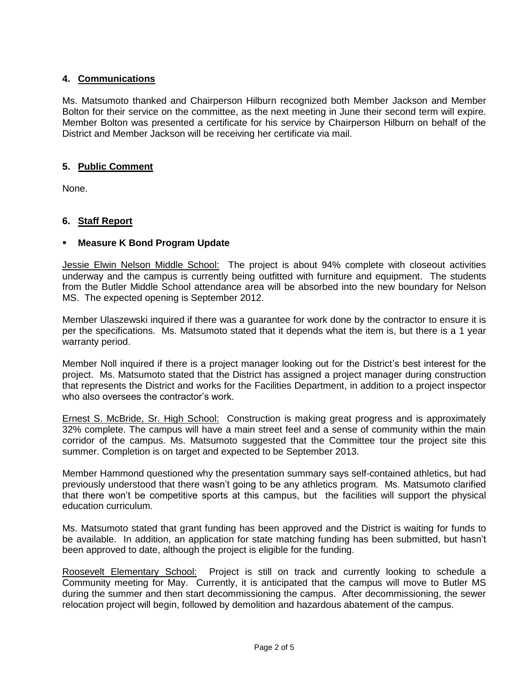# **4. Communications**

Ms. Matsumoto thanked and Chairperson Hilburn recognized both Member Jackson and Member Bolton for their service on the committee, as the next meeting in June their second term will expire. Member Bolton was presented a certificate for his service by Chairperson Hilburn on behalf of the District and Member Jackson will be receiving her certificate via mail.

# **5. Public Comment**

None.

# **6. Staff Report**

# **Measure K Bond Program Update**

Jessie Elwin Nelson Middle School: The project is about 94% complete with closeout activities underway and the campus is currently being outfitted with furniture and equipment. The students from the Butler Middle School attendance area will be absorbed into the new boundary for Nelson MS. The expected opening is September 2012.

Member Ulaszewski inquired if there was a guarantee for work done by the contractor to ensure it is per the specifications. Ms. Matsumoto stated that it depends what the item is, but there is a 1 year warranty period.

Member Noll inquired if there is a project manager looking out for the District's best interest for the project. Ms. Matsumoto stated that the District has assigned a project manager during construction that represents the District and works for the Facilities Department, in addition to a project inspector who also oversees the contractor's work.

Ernest S. McBride, Sr. High School: Construction is making great progress and is approximately 32% complete. The campus will have a main street feel and a sense of community within the main corridor of the campus. Ms. Matsumoto suggested that the Committee tour the project site this summer. Completion is on target and expected to be September 2013.

Member Hammond questioned why the presentation summary says self-contained athletics, but had previously understood that there wasn't going to be any athletics program. Ms. Matsumoto clarified that there won't be competitive sports at this campus, but the facilities will support the physical education curriculum.

Ms. Matsumoto stated that grant funding has been approved and the District is waiting for funds to be available. In addition, an application for state matching funding has been submitted, but hasn't been approved to date, although the project is eligible for the funding.

Roosevelt Elementary School: Project is still on track and currently looking to schedule a Community meeting for May. Currently, it is anticipated that the campus will move to Butler MS during the summer and then start decommissioning the campus. After decommissioning, the sewer relocation project will begin, followed by demolition and hazardous abatement of the campus.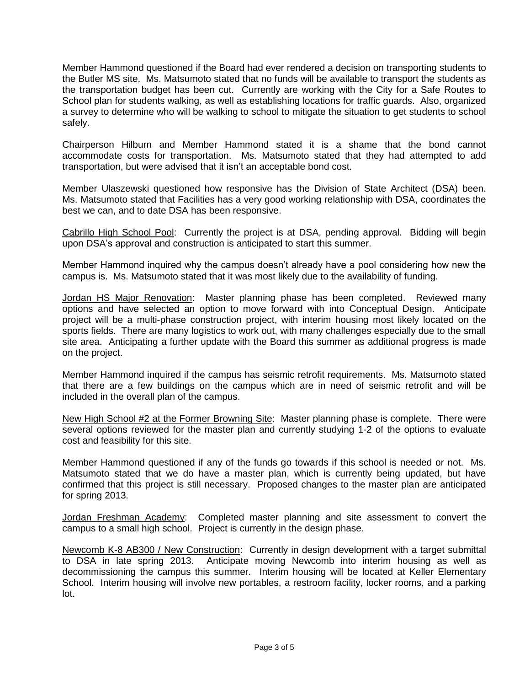Member Hammond questioned if the Board had ever rendered a decision on transporting students to the Butler MS site. Ms. Matsumoto stated that no funds will be available to transport the students as the transportation budget has been cut. Currently are working with the City for a Safe Routes to School plan for students walking, as well as establishing locations for traffic guards. Also, organized a survey to determine who will be walking to school to mitigate the situation to get students to school safely.

Chairperson Hilburn and Member Hammond stated it is a shame that the bond cannot accommodate costs for transportation. Ms. Matsumoto stated that they had attempted to add transportation, but were advised that it isn't an acceptable bond cost.

Member Ulaszewski questioned how responsive has the Division of State Architect (DSA) been. Ms. Matsumoto stated that Facilities has a very good working relationship with DSA, coordinates the best we can, and to date DSA has been responsive.

Cabrillo High School Pool: Currently the project is at DSA, pending approval. Bidding will begin upon DSA's approval and construction is anticipated to start this summer.

Member Hammond inquired why the campus doesn't already have a pool considering how new the campus is. Ms. Matsumoto stated that it was most likely due to the availability of funding.

Jordan HS Major Renovation: Master planning phase has been completed. Reviewed many options and have selected an option to move forward with into Conceptual Design. Anticipate project will be a multi-phase construction project, with interim housing most likely located on the sports fields. There are many logistics to work out, with many challenges especially due to the small site area. Anticipating a further update with the Board this summer as additional progress is made on the project.

Member Hammond inquired if the campus has seismic retrofit requirements. Ms. Matsumoto stated that there are a few buildings on the campus which are in need of seismic retrofit and will be included in the overall plan of the campus.

New High School #2 at the Former Browning Site: Master planning phase is complete. There were several options reviewed for the master plan and currently studying 1-2 of the options to evaluate cost and feasibility for this site.

Member Hammond questioned if any of the funds go towards if this school is needed or not. Ms. Matsumoto stated that we do have a master plan, which is currently being updated, but have confirmed that this project is still necessary. Proposed changes to the master plan are anticipated for spring 2013.

Jordan Freshman Academy: Completed master planning and site assessment to convert the campus to a small high school. Project is currently in the design phase.

Newcomb K-8 AB300 / New Construction: Currently in design development with a target submittal to DSA in late spring 2013. Anticipate moving Newcomb into interim housing as well as decommissioning the campus this summer. Interim housing will be located at Keller Elementary School. Interim housing will involve new portables, a restroom facility, locker rooms, and a parking lot.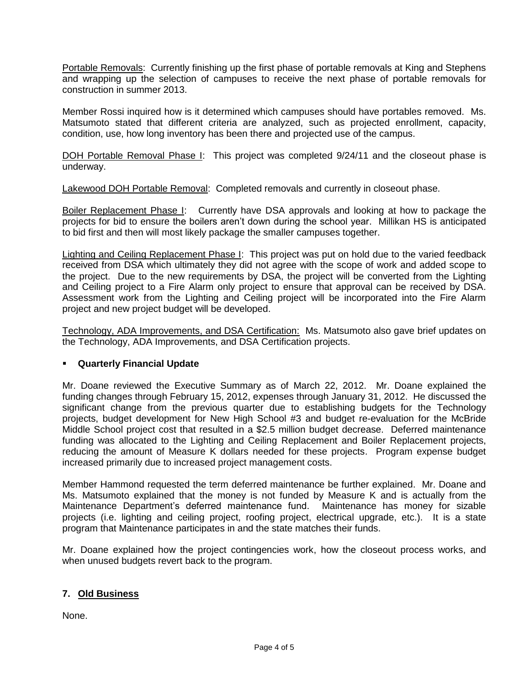Portable Removals: Currently finishing up the first phase of portable removals at King and Stephens and wrapping up the selection of campuses to receive the next phase of portable removals for construction in summer 2013.

Member Rossi inquired how is it determined which campuses should have portables removed. Ms. Matsumoto stated that different criteria are analyzed, such as projected enrollment, capacity, condition, use, how long inventory has been there and projected use of the campus.

DOH Portable Removal Phase I: This project was completed 9/24/11 and the closeout phase is underway.

Lakewood DOH Portable Removal: Completed removals and currently in closeout phase.

Boiler Replacement Phase I: Currently have DSA approvals and looking at how to package the projects for bid to ensure the boilers aren't down during the school year. Millikan HS is anticipated to bid first and then will most likely package the smaller campuses together.

Lighting and Ceiling Replacement Phase I: This project was put on hold due to the varied feedback received from DSA which ultimately they did not agree with the scope of work and added scope to the project. Due to the new requirements by DSA, the project will be converted from the Lighting and Ceiling project to a Fire Alarm only project to ensure that approval can be received by DSA. Assessment work from the Lighting and Ceiling project will be incorporated into the Fire Alarm project and new project budget will be developed.

Technology, ADA Improvements, and DSA Certification: Ms. Matsumoto also gave brief updates on the Technology, ADA Improvements, and DSA Certification projects.

## **Quarterly Financial Update**

Mr. Doane reviewed the Executive Summary as of March 22, 2012. Mr. Doane explained the funding changes through February 15, 2012, expenses through January 31, 2012. He discussed the significant change from the previous quarter due to establishing budgets for the Technology projects, budget development for New High School #3 and budget re-evaluation for the McBride Middle School project cost that resulted in a \$2.5 million budget decrease. Deferred maintenance funding was allocated to the Lighting and Ceiling Replacement and Boiler Replacement projects, reducing the amount of Measure K dollars needed for these projects. Program expense budget increased primarily due to increased project management costs.

Member Hammond requested the term deferred maintenance be further explained. Mr. Doane and Ms. Matsumoto explained that the money is not funded by Measure K and is actually from the Maintenance Department's deferred maintenance fund. Maintenance has money for sizable projects (i.e. lighting and ceiling project, roofing project, electrical upgrade, etc.). It is a state program that Maintenance participates in and the state matches their funds.

Mr. Doane explained how the project contingencies work, how the closeout process works, and when unused budgets revert back to the program.

## **7. Old Business**

None.